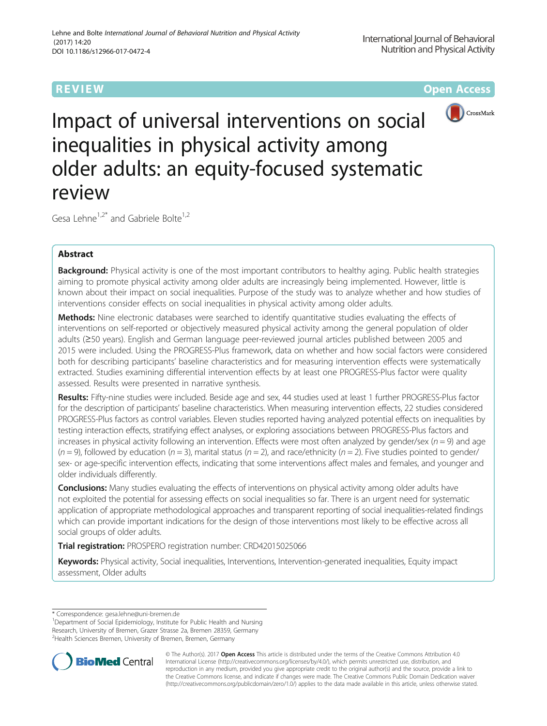**REVIEW CONSIDERING CONSIDERING CONSIDERING CONSIDERING CONSIDERING CONSIDERING CONSIDERING CONSIDERING CONSIDERING CONSIDERING CONSIDERING CONSIDERING CONSIDERING CONSIDERING CONSIDERING CONSIDERING CONSIDERING CONSIDER** 



Impact of universal interventions on social inequalities in physical activity among older adults: an equity-focused systematic review

Gesa Lehne<sup>1,2\*</sup> and Gabriele Bolte<sup>1,2</sup>

# Abstract

Background: Physical activity is one of the most important contributors to healthy aging. Public health strategies aiming to promote physical activity among older adults are increasingly being implemented. However, little is known about their impact on social inequalities. Purpose of the study was to analyze whether and how studies of interventions consider effects on social inequalities in physical activity among older adults.

Methods: Nine electronic databases were searched to identify quantitative studies evaluating the effects of interventions on self-reported or objectively measured physical activity among the general population of older adults (≥50 years). English and German language peer-reviewed journal articles published between 2005 and 2015 were included. Using the PROGRESS-Plus framework, data on whether and how social factors were considered both for describing participants' baseline characteristics and for measuring intervention effects were systematically extracted. Studies examining differential intervention effects by at least one PROGRESS-Plus factor were quality assessed. Results were presented in narrative synthesis.

Results: Fifty-nine studies were included. Beside age and sex, 44 studies used at least 1 further PROGRESS-Plus factor for the description of participants' baseline characteristics. When measuring intervention effects, 22 studies considered PROGRESS-Plus factors as control variables. Eleven studies reported having analyzed potential effects on inequalities by testing interaction effects, stratifying effect analyses, or exploring associations between PROGRESS-Plus factors and increases in physical activity following an intervention. Effects were most often analyzed by gender/sex ( $n = 9$ ) and age  $(n = 9)$ , followed by education  $(n = 3)$ , marital status  $(n = 2)$ , and race/ethnicity  $(n = 2)$ . Five studies pointed to gender/ sex- or age-specific intervention effects, indicating that some interventions affect males and females, and younger and older individuals differently.

**Conclusions:** Many studies evaluating the effects of interventions on physical activity among older adults have not exploited the potential for assessing effects on social inequalities so far. There is an urgent need for systematic application of appropriate methodological approaches and transparent reporting of social inequalities-related findings which can provide important indications for the design of those interventions most likely to be effective across all social groups of older adults.

Trial registration: PROSPERO registration number: [CRD42015025066](http://www.crd.york.ac.uk/PROSPERO/display_record.asp?ID=CRD42015025066)

Keywords: Physical activity, Social inequalities, Interventions, Intervention-generated inequalities, Equity impact assessment, Older adults

\* Correspondence: [gesa.lehne@uni-bremen.de](mailto:gesa.lehne@uni-bremen.de) <sup>1</sup>

<sup>1</sup>Department of Social Epidemiology, Institute for Public Health and Nursing Research, University of Bremen, Grazer Strasse 2a, Bremen 28359, Germany <sup>2</sup> Health Sciences Bremen, University of Bremen, Bremen, Germany



© The Author(s). 2017 **Open Access** This article is distributed under the terms of the Creative Commons Attribution 4.0 International License [\(http://creativecommons.org/licenses/by/4.0/](http://creativecommons.org/licenses/by/4.0/)), which permits unrestricted use, distribution, and reproduction in any medium, provided you give appropriate credit to the original author(s) and the source, provide a link to the Creative Commons license, and indicate if changes were made. The Creative Commons Public Domain Dedication waiver [\(http://creativecommons.org/publicdomain/zero/1.0/](http://creativecommons.org/publicdomain/zero/1.0/)) applies to the data made available in this article, unless otherwise stated.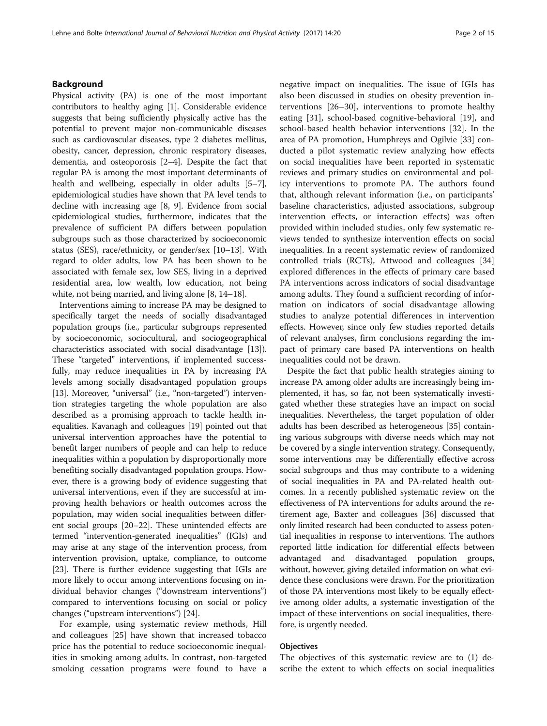## Background

Physical activity (PA) is one of the most important contributors to healthy aging [\[1\]](#page-13-0). Considerable evidence suggests that being sufficiently physically active has the potential to prevent major non-communicable diseases such as cardiovascular diseases, type 2 diabetes mellitus, obesity, cancer, depression, chronic respiratory diseases, dementia, and osteoporosis [[2](#page-13-0)–[4](#page-13-0)]. Despite the fact that regular PA is among the most important determinants of health and wellbeing, especially in older adults [[5](#page-13-0)–[7](#page-13-0)], epidemiological studies have shown that PA level tends to decline with increasing age [[8, 9](#page-13-0)]. Evidence from social epidemiological studies, furthermore, indicates that the prevalence of sufficient PA differs between population subgroups such as those characterized by socioeconomic status (SES), race/ethnicity, or gender/sex [[10](#page-13-0)–[13\]](#page-13-0). With regard to older adults, low PA has been shown to be associated with female sex, low SES, living in a deprived residential area, low wealth, low education, not being white, not being married, and living alone [[8, 14](#page-13-0)–[18](#page-13-0)].

Interventions aiming to increase PA may be designed to specifically target the needs of socially disadvantaged population groups (i.e., particular subgroups represented by socioeconomic, sociocultural, and sociogeographical characteristics associated with social disadvantage [[13](#page-13-0)]). These "targeted" interventions, if implemented successfully, may reduce inequalities in PA by increasing PA levels among socially disadvantaged population groups [[13](#page-13-0)]. Moreover, "universal" (i.e., "non-targeted") intervention strategies targeting the whole population are also described as a promising approach to tackle health inequalities. Kavanagh and colleagues [[19](#page-13-0)] pointed out that universal intervention approaches have the potential to benefit larger numbers of people and can help to reduce inequalities within a population by disproportionally more benefiting socially disadvantaged population groups. However, there is a growing body of evidence suggesting that universal interventions, even if they are successful at improving health behaviors or health outcomes across the population, may widen social inequalities between different social groups [\[20](#page-13-0)–[22](#page-14-0)]. These unintended effects are termed "intervention-generated inequalities" (IGIs) and may arise at any stage of the intervention process, from intervention provision, uptake, compliance, to outcome [[23](#page-14-0)]. There is further evidence suggesting that IGIs are more likely to occur among interventions focusing on individual behavior changes ("downstream interventions") compared to interventions focusing on social or policy changes ("upstream interventions") [[24](#page-14-0)].

For example, using systematic review methods, Hill and colleagues [\[25\]](#page-14-0) have shown that increased tobacco price has the potential to reduce socioeconomic inequalities in smoking among adults. In contrast, non-targeted smoking cessation programs were found to have a negative impact on inequalities. The issue of IGIs has also been discussed in studies on obesity prevention interventions [\[26](#page-14-0)–[30\]](#page-14-0), interventions to promote healthy eating [\[31\]](#page-14-0), school-based cognitive-behavioral [[19\]](#page-13-0), and school-based health behavior interventions [[32\]](#page-14-0). In the area of PA promotion, Humphreys and Ogilvie [[33\]](#page-14-0) conducted a pilot systematic review analyzing how effects on social inequalities have been reported in systematic reviews and primary studies on environmental and policy interventions to promote PA. The authors found that, although relevant information (i.e., on participants' baseline characteristics, adjusted associations, subgroup intervention effects, or interaction effects) was often provided within included studies, only few systematic reviews tended to synthesize intervention effects on social inequalities. In a recent systematic review of randomized controlled trials (RCTs), Attwood and colleagues [[34](#page-14-0)] explored differences in the effects of primary care based PA interventions across indicators of social disadvantage among adults. They found a sufficient recording of information on indicators of social disadvantage allowing studies to analyze potential differences in intervention effects. However, since only few studies reported details of relevant analyses, firm conclusions regarding the impact of primary care based PA interventions on health inequalities could not be drawn.

Despite the fact that public health strategies aiming to increase PA among older adults are increasingly being implemented, it has, so far, not been systematically investigated whether these strategies have an impact on social inequalities. Nevertheless, the target population of older adults has been described as heterogeneous [[35\]](#page-14-0) containing various subgroups with diverse needs which may not be covered by a single intervention strategy. Consequently, some interventions may be differentially effective across social subgroups and thus may contribute to a widening of social inequalities in PA and PA-related health outcomes. In a recently published systematic review on the effectiveness of PA interventions for adults around the retirement age, Baxter and colleagues [[36](#page-14-0)] discussed that only limited research had been conducted to assess potential inequalities in response to interventions. The authors reported little indication for differential effects between advantaged and disadvantaged population groups, without, however, giving detailed information on what evidence these conclusions were drawn. For the prioritization of those PA interventions most likely to be equally effective among older adults, a systematic investigation of the impact of these interventions on social inequalities, therefore, is urgently needed.

## **Objectives**

The objectives of this systematic review are to (1) describe the extent to which effects on social inequalities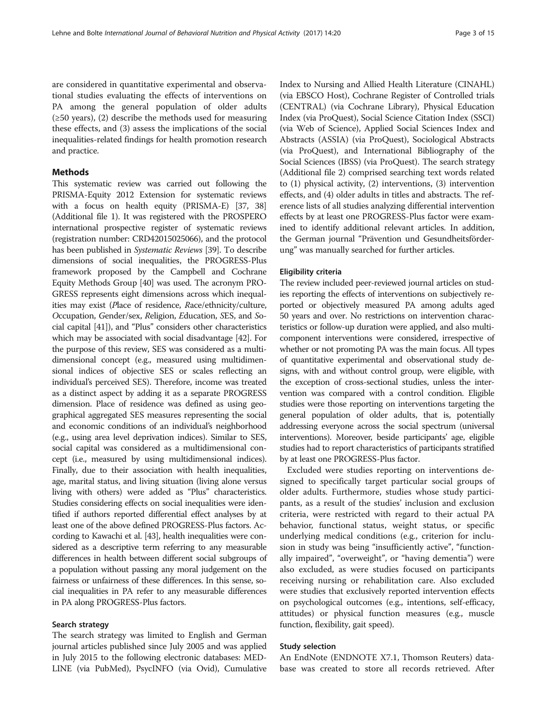are considered in quantitative experimental and observational studies evaluating the effects of interventions on PA among the general population of older adults  $(\geq 50 \text{ years})$ , (2) describe the methods used for measuring these effects, and (3) assess the implications of the social inequalities-related findings for health promotion research and practice.

## Methods

This systematic review was carried out following the PRISMA-Equity 2012 Extension for systematic reviews with a focus on health equity (PRISMA-E) [\[37, 38](#page-14-0)] (Additional file [1\)](#page-13-0). It was registered with the PROSPERO international prospective register of systematic reviews (registration number: CRD42015025066), and the protocol has been published in Systematic Reviews [\[39\]](#page-14-0). To describe dimensions of social inequalities, the PROGRESS-Plus framework proposed by the Campbell and Cochrane Equity Methods Group [\[40\]](#page-14-0) was used. The acronym PRO-GRESS represents eight dimensions across which inequalities may exist (Place of residence, Race/ethnicity/culture, Occupation, Gender/sex, Religion, Education, SES, and Social capital [\[41\]](#page-14-0)), and "Plus" considers other characteristics which may be associated with social disadvantage [\[42\]](#page-14-0). For the purpose of this review, SES was considered as a multidimensional concept (e.g., measured using multidimensional indices of objective SES or scales reflecting an individual's perceived SES). Therefore, income was treated as a distinct aspect by adding it as a separate PROGRESS dimension. Place of residence was defined as using geographical aggregated SES measures representing the social and economic conditions of an individual's neighborhood (e.g., using area level deprivation indices). Similar to SES, social capital was considered as a multidimensional concept (i.e., measured by using multidimensional indices). Finally, due to their association with health inequalities, age, marital status, and living situation (living alone versus living with others) were added as "Plus" characteristics. Studies considering effects on social inequalities were identified if authors reported differential effect analyses by at least one of the above defined PROGRESS-Plus factors. According to Kawachi et al. [\[43\]](#page-14-0), health inequalities were considered as a descriptive term referring to any measurable differences in health between different social subgroups of a population without passing any moral judgement on the fairness or unfairness of these differences. In this sense, social inequalities in PA refer to any measurable differences in PA along PROGRESS-Plus factors.

## Search strategy

The search strategy was limited to English and German journal articles published since July 2005 and was applied in July 2015 to the following electronic databases: MED-LINE (via PubMed), PsycINFO (via Ovid), Cumulative

Index to Nursing and Allied Health Literature (CINAHL) (via EBSCO Host), Cochrane Register of Controlled trials (CENTRAL) (via Cochrane Library), Physical Education Index (via ProQuest), Social Science Citation Index (SSCI) (via Web of Science), Applied Social Sciences Index and Abstracts (ASSIA) (via ProQuest), Sociological Abstracts (via ProQuest), and International Bibliography of the Social Sciences (IBSS) (via ProQuest). The search strategy (Additional file [2](#page-13-0)) comprised searching text words related to (1) physical activity, (2) interventions, (3) intervention effects, and (4) older adults in titles and abstracts. The reference lists of all studies analyzing differential intervention effects by at least one PROGRESS-Plus factor were examined to identify additional relevant articles. In addition, the German journal "Prävention und Gesundheitsförderung" was manually searched for further articles.

## Eligibility criteria

The review included peer-reviewed journal articles on studies reporting the effects of interventions on subjectively reported or objectively measured PA among adults aged 50 years and over. No restrictions on intervention characteristics or follow-up duration were applied, and also multicomponent interventions were considered, irrespective of whether or not promoting PA was the main focus. All types of quantitative experimental and observational study designs, with and without control group, were eligible, with the exception of cross-sectional studies, unless the intervention was compared with a control condition. Eligible studies were those reporting on interventions targeting the general population of older adults, that is, potentially addressing everyone across the social spectrum (universal interventions). Moreover, beside participants' age, eligible studies had to report characteristics of participants stratified by at least one PROGRESS-Plus factor.

Excluded were studies reporting on interventions designed to specifically target particular social groups of older adults. Furthermore, studies whose study participants, as a result of the studies' inclusion and exclusion criteria, were restricted with regard to their actual PA behavior, functional status, weight status, or specific underlying medical conditions (e.g., criterion for inclusion in study was being "insufficiently active", "functionally impaired", "overweight", or "having dementia") were also excluded, as were studies focused on participants receiving nursing or rehabilitation care. Also excluded were studies that exclusively reported intervention effects on psychological outcomes (e.g., intentions, self-efficacy, attitudes) or physical function measures (e.g., muscle function, flexibility, gait speed).

#### Study selection

An EndNote (ENDNOTE X7.1, Thomson Reuters) database was created to store all records retrieved. After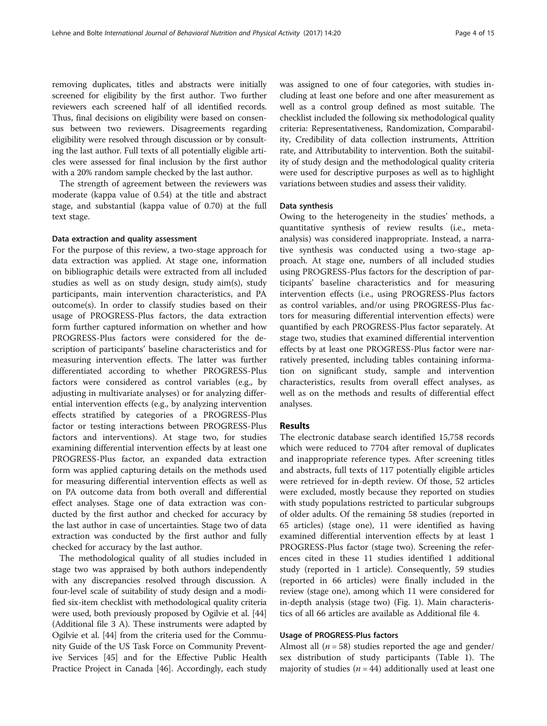removing duplicates, titles and abstracts were initially screened for eligibility by the first author. Two further reviewers each screened half of all identified records. Thus, final decisions on eligibility were based on consensus between two reviewers. Disagreements regarding eligibility were resolved through discussion or by consulting the last author. Full texts of all potentially eligible articles were assessed for final inclusion by the first author with a 20% random sample checked by the last author.

The strength of agreement between the reviewers was moderate (kappa value of 0.54) at the title and abstract stage, and substantial (kappa value of 0.70) at the full text stage.

#### Data extraction and quality assessment

For the purpose of this review, a two-stage approach for data extraction was applied. At stage one, information on bibliographic details were extracted from all included studies as well as on study design, study aim(s), study participants, main intervention characteristics, and PA outcome(s). In order to classify studies based on their usage of PROGRESS-Plus factors, the data extraction form further captured information on whether and how PROGRESS-Plus factors were considered for the description of participants' baseline characteristics and for measuring intervention effects. The latter was further differentiated according to whether PROGRESS-Plus factors were considered as control variables (e.g., by adjusting in multivariate analyses) or for analyzing differential intervention effects (e.g., by analyzing intervention effects stratified by categories of a PROGRESS-Plus factor or testing interactions between PROGRESS-Plus factors and interventions). At stage two, for studies examining differential intervention effects by at least one PROGRESS-Plus factor, an expanded data extraction form was applied capturing details on the methods used for measuring differential intervention effects as well as on PA outcome data from both overall and differential effect analyses. Stage one of data extraction was conducted by the first author and checked for accuracy by the last author in case of uncertainties. Stage two of data extraction was conducted by the first author and fully checked for accuracy by the last author.

The methodological quality of all studies included in stage two was appraised by both authors independently with any discrepancies resolved through discussion. A four-level scale of suitability of study design and a modified six-item checklist with methodological quality criteria were used, both previously proposed by Ogilvie et al. [[44](#page-14-0)] (Additional file [3](#page-13-0) A). These instruments were adapted by Ogilvie et al. [[44](#page-14-0)] from the criteria used for the Community Guide of the US Task Force on Community Preventive Services [[45](#page-14-0)] and for the Effective Public Health Practice Project in Canada [[46](#page-14-0)]. Accordingly, each study was assigned to one of four categories, with studies including at least one before and one after measurement as well as a control group defined as most suitable. The checklist included the following six methodological quality criteria: Representativeness, Randomization, Comparability, Credibility of data collection instruments, Attrition rate, and Attributability to intervention. Both the suitability of study design and the methodological quality criteria were used for descriptive purposes as well as to highlight variations between studies and assess their validity.

## Data synthesis

Owing to the heterogeneity in the studies' methods, a quantitative synthesis of review results (i.e., metaanalysis) was considered inappropriate. Instead, a narrative synthesis was conducted using a two-stage approach. At stage one, numbers of all included studies using PROGRESS-Plus factors for the description of participants' baseline characteristics and for measuring intervention effects (i.e., using PROGRESS-Plus factors as control variables, and/or using PROGRESS-Plus factors for measuring differential intervention effects) were quantified by each PROGRESS-Plus factor separately. At stage two, studies that examined differential intervention effects by at least one PROGRESS-Plus factor were narratively presented, including tables containing information on significant study, sample and intervention characteristics, results from overall effect analyses, as well as on the methods and results of differential effect analyses.

## Results

The electronic database search identified 15,758 records which were reduced to 7704 after removal of duplicates and inappropriate reference types. After screening titles and abstracts, full texts of 117 potentially eligible articles were retrieved for in-depth review. Of those, 52 articles were excluded, mostly because they reported on studies with study populations restricted to particular subgroups of older adults. Of the remaining 58 studies (reported in 65 articles) (stage one), 11 were identified as having examined differential intervention effects by at least 1 PROGRESS-Plus factor (stage two). Screening the references cited in these 11 studies identified 1 additional study (reported in 1 article). Consequently, 59 studies (reported in 66 articles) were finally included in the review (stage one), among which 11 were considered for in-depth analysis (stage two) (Fig. [1\)](#page-4-0). Main characteristics of all 66 articles are available as Additional file [4](#page-13-0).

## Usage of PROGRESS-Plus factors

Almost all ( $n = 58$ ) studies reported the age and gender/ sex distribution of study participants (Table [1\)](#page-5-0). The majority of studies ( $n = 44$ ) additionally used at least one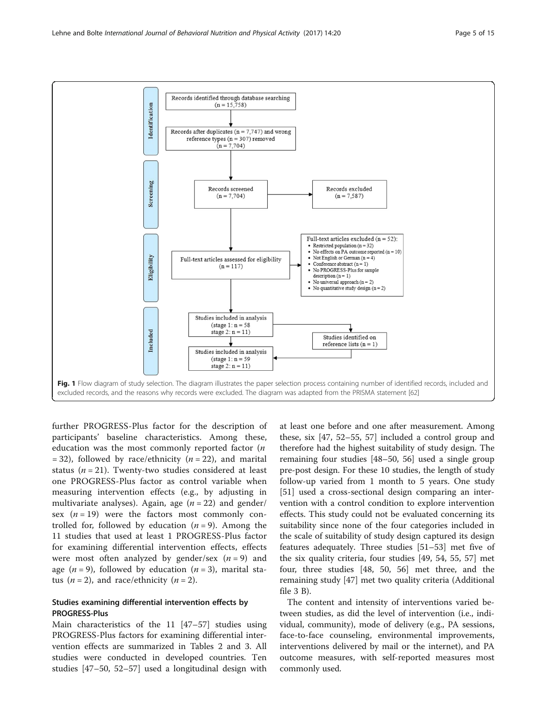<span id="page-4-0"></span>

further PROGRESS-Plus factor for the description of participants' baseline characteristics. Among these, education was the most commonly reported factor  $(n)$ = 32), followed by race/ethnicity ( $n = 22$ ), and marital status ( $n = 21$ ). Twenty-two studies considered at least one PROGRESS-Plus factor as control variable when measuring intervention effects (e.g., by adjusting in multivariate analyses). Again, age  $(n = 22)$  and gender/ sex  $(n = 19)$  were the factors most commonly controlled for, followed by education  $(n = 9)$ . Among the 11 studies that used at least 1 PROGRESS-Plus factor for examining differential intervention effects, effects were most often analyzed by gender/sex  $(n = 9)$  and age ( $n = 9$ ), followed by education ( $n = 3$ ), marital status  $(n = 2)$ , and race/ethnicity  $(n = 2)$ .

## Studies examining differential intervention effects by PROGRESS-Plus

Main characteristics of the 11 [[47](#page-14-0)–[57](#page-14-0)] studies using PROGRESS-Plus factors for examining differential intervention effects are summarized in Tables [2](#page-6-0) and [3.](#page-8-0) All studies were conducted in developed countries. Ten studies [\[47](#page-14-0)–[50, 52](#page-14-0)–[57\]](#page-14-0) used a longitudinal design with at least one before and one after measurement. Among these, six [\[47, 52](#page-14-0)–[55, 57\]](#page-14-0) included a control group and therefore had the highest suitability of study design. The remaining four studies [[48](#page-14-0)–[50](#page-14-0), [56](#page-14-0)] used a single group pre-post design. For these 10 studies, the length of study follow-up varied from 1 month to 5 years. One study [[51\]](#page-14-0) used a cross-sectional design comparing an intervention with a control condition to explore intervention effects. This study could not be evaluated concerning its suitability since none of the four categories included in the scale of suitability of study design captured its design features adequately. Three studies [\[51](#page-14-0)–[53\]](#page-14-0) met five of the six quality criteria, four studies [[49, 54](#page-14-0), [55](#page-14-0), [57\]](#page-14-0) met four, three studies [\[48](#page-14-0), [50, 56](#page-14-0)] met three, and the remaining study [\[47\]](#page-14-0) met two quality criteria (Additional file [3](#page-13-0) B).

The content and intensity of interventions varied between studies, as did the level of intervention (i.e., individual, community), mode of delivery (e.g., PA sessions, face-to-face counseling, environmental improvements, interventions delivered by mail or the internet), and PA outcome measures, with self-reported measures most commonly used.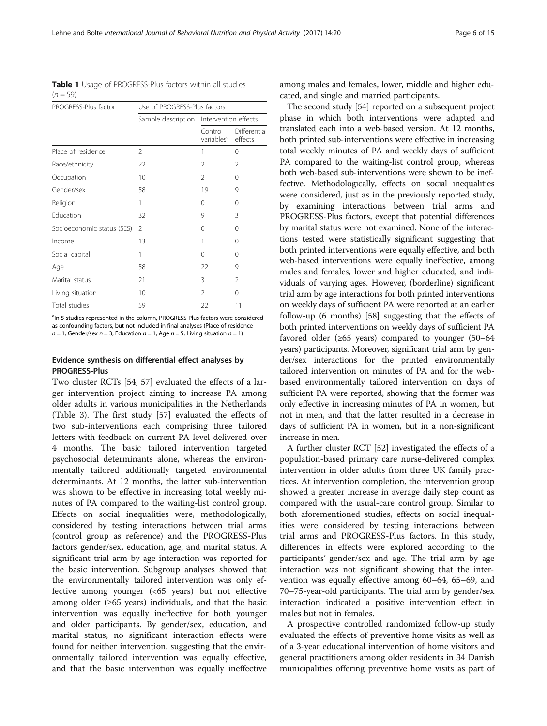<span id="page-5-0"></span>Table 1 Usage of PROGRESS-Plus factors within all studies  $(n = 59)$ 

| PROGRESS-Plus factor       | Use of PROGRESS-Plus factors |                                   |                         |
|----------------------------|------------------------------|-----------------------------------|-------------------------|
|                            | Sample description           | Intervention effects              |                         |
|                            |                              | Control<br>variables <sup>a</sup> | Differential<br>effects |
| Place of residence         | $\mathfrak{D}$               | 1                                 | 0                       |
| Race/ethnicity             | 22                           | 2                                 | 2                       |
| Occupation                 | 10                           | $\mathfrak{D}$                    | 0                       |
| Gender/sex                 | 58                           | 19                                | 9                       |
| Religion                   | 1                            | $\Omega$                          | 0                       |
| Education                  | 32                           | 9                                 | 3                       |
| Socioeconomic status (SES) | $\mathfrak{D}$               | $\Omega$                          | $\Omega$                |
| Income                     | 13                           | 1                                 | 0                       |
| Social capital             | 1                            | $\Omega$                          | 0                       |
| Age                        | 58                           | 22                                | 9                       |
| Marital status             | 21                           | 3                                 | $\mathfrak{D}$          |
| Living situation           | 10                           | $\mathfrak{D}$                    | 0                       |
| Total studies              | 59                           | 22                                | 11                      |

<sup>a</sup>In 5 studies represented in the column, PROGRESS-Plus factors were considered as confounding factors, but not included in final analyses (Place of residence  $n = 1$ , Gender/sex  $n = 3$ , Education  $n = 1$ , Age  $n = 5$ , Living situation  $n = 1$ )

## Evidence synthesis on differential effect analyses by PROGRESS-Plus

Two cluster RCTs [\[54](#page-14-0), [57](#page-14-0)] evaluated the effects of a larger intervention project aiming to increase PA among older adults in various municipalities in the Netherlands (Table [3\)](#page-8-0). The first study [\[57](#page-14-0)] evaluated the effects of two sub-interventions each comprising three tailored letters with feedback on current PA level delivered over 4 months. The basic tailored intervention targeted psychosocial determinants alone, whereas the environmentally tailored additionally targeted environmental determinants. At 12 months, the latter sub-intervention was shown to be effective in increasing total weekly minutes of PA compared to the waiting-list control group. Effects on social inequalities were, methodologically, considered by testing interactions between trial arms (control group as reference) and the PROGRESS-Plus factors gender/sex, education, age, and marital status. A significant trial arm by age interaction was reported for the basic intervention. Subgroup analyses showed that the environmentally tailored intervention was only effective among younger (<65 years) but not effective among older  $(≥65 \text{ years})$  individuals, and that the basic intervention was equally ineffective for both younger and older participants. By gender/sex, education, and marital status, no significant interaction effects were found for neither intervention, suggesting that the environmentally tailored intervention was equally effective, and that the basic intervention was equally ineffective

among males and females, lower, middle and higher educated, and single and married participants.

The second study [[54](#page-14-0)] reported on a subsequent project phase in which both interventions were adapted and translated each into a web-based version. At 12 months, both printed sub-interventions were effective in increasing total weekly minutes of PA and weekly days of sufficient PA compared to the waiting-list control group, whereas both web-based sub-interventions were shown to be ineffective. Methodologically, effects on social inequalities were considered, just as in the previously reported study, by examining interactions between trial arms and PROGRESS-Plus factors, except that potential differences by marital status were not examined. None of the interactions tested were statistically significant suggesting that both printed interventions were equally effective, and both web-based interventions were equally ineffective, among males and females, lower and higher educated, and individuals of varying ages. However, (borderline) significant trial arm by age interactions for both printed interventions on weekly days of sufficient PA were reported at an earlier follow-up (6 months) [[58](#page-14-0)] suggesting that the effects of both printed interventions on weekly days of sufficient PA favored older ( $\geq 65$  years) compared to younger (50–64 years) participants. Moreover, significant trial arm by gender/sex interactions for the printed environmentally tailored intervention on minutes of PA and for the webbased environmentally tailored intervention on days of sufficient PA were reported, showing that the former was only effective in increasing minutes of PA in women, but not in men, and that the latter resulted in a decrease in days of sufficient PA in women, but in a non-significant increase in men.

A further cluster RCT [\[52](#page-14-0)] investigated the effects of a population-based primary care nurse-delivered complex intervention in older adults from three UK family practices. At intervention completion, the intervention group showed a greater increase in average daily step count as compared with the usual-care control group. Similar to both aforementioned studies, effects on social inequalities were considered by testing interactions between trial arms and PROGRESS-Plus factors. In this study, differences in effects were explored according to the participants' gender/sex and age. The trial arm by age interaction was not significant showing that the intervention was equally effective among 60–64, 65–69, and 70–75-year-old participants. The trial arm by gender/sex interaction indicated a positive intervention effect in males but not in females.

A prospective controlled randomized follow-up study evaluated the effects of preventive home visits as well as of a 3-year educational intervention of home visitors and general practitioners among older residents in 34 Danish municipalities offering preventive home visits as part of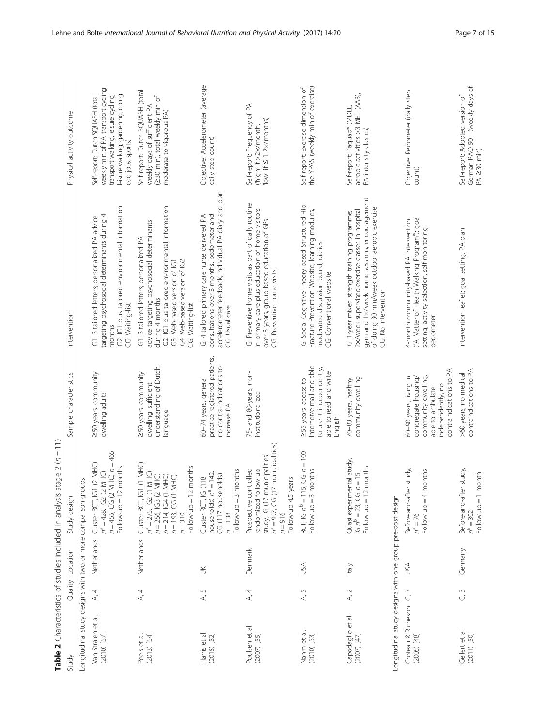<span id="page-6-0"></span>

| Table 2 Characteristics of studies included in analysis   |               |                  | stage $2 (n = 11)$                                                                                                                                                                             |                                                                                                                                          |                                                                                                                                                                                                                                                    |                                                                                                                                                                           |
|-----------------------------------------------------------|---------------|------------------|------------------------------------------------------------------------------------------------------------------------------------------------------------------------------------------------|------------------------------------------------------------------------------------------------------------------------------------------|----------------------------------------------------------------------------------------------------------------------------------------------------------------------------------------------------------------------------------------------------|---------------------------------------------------------------------------------------------------------------------------------------------------------------------------|
| Study                                                     |               | Quality Location | Study design                                                                                                                                                                                   | Sample characteristics                                                                                                                   | Intervention                                                                                                                                                                                                                                       | Physical activity outcome                                                                                                                                                 |
| Longitudinal study designs with two or more comparison gr |               |                  | oups                                                                                                                                                                                           |                                                                                                                                          |                                                                                                                                                                                                                                                    |                                                                                                                                                                           |
| Van Stralen et al.<br>$(2010)$ [57]                       | A, 4          | Netherlands      | $n = 455$ , CG (2 MHC) $n = 465$<br>Cluster RCT, IG1 (2 MHC<br>months<br>$n^a = 428$ , IG2 (2 MHC)<br>Follow-up = $12$                                                                         | 250 years, community<br>dwelling adults                                                                                                  | IG2: IG1 plus tailored environmental information<br>targeting psychosocial determinants during 4<br>G1: 3 tailored letters; personalized PA advice<br>CG: Waiting-list<br>months                                                                   | weekly min of PA, transport cycling,<br>leisure walking, gardening, doing<br>transport walking, leisure cycling,<br>Self-report: Dutch SQUASH (total<br>odd jobs, sports) |
| $(2013)$ [54]<br>Peels et al.                             | A, 4          | Netherlands      | Cluster RCT, IG1 (1 MHC)<br>? months<br>MHC)<br>MHC)<br>MHC)<br>MHC)<br>$n^a = 275$ , IG2 (1<br>$n = 256,$ IG3 (2)<br>$n = 214$ , IG4 (1<br>$n = 193$ , CG (1<br>Follow-up $= 12$<br>$n = 310$ | understanding of Dutch<br>250 years, community<br>dwelling, sufficient<br>language                                                       | IG2: IG1 plus tailored environmental information<br>advice targeting psychosocial determinants<br>G1: 3 tailored letters; personalized PA<br>IG4: Web-based version of IG2<br>IG3: Web-based version of IG1<br>during 4 months<br>CG: Waiting-list | Self-report: Dutch SQUASH (total<br>(230 min), total weekly min of<br>weekly days of sufficient PA<br>moderate to vigorous PA)                                            |
| Harris et al.<br>(2015) [52]                              | S<br>$\prec$  | $\leq$           | months<br>$= 142,$<br>CG (117 households)<br>(118)<br>Cluster RCT, IG<br>households) n <sup>e</sup><br>$Follow-up = 3$<br>$n = 138$                                                            | practice registered patients,<br>no contra-indications to<br>60-74 years, general<br>increase PA                                         | accelerometer feedback, individual PA diary and plan<br>IG: 4 tailored primary care nurse delivered PA<br>consultations over 3 months, pedometer and<br>CG: Usual care                                                                             | Objective: Accelerometer (average<br>daily step-count)                                                                                                                    |
| Poulsen et al.<br>$(2007)$ [55]                           | A, 4          | Denmark          | $n^a = 997$ , CG (17 municipalities)<br>study, IG (17 municipalities)<br>Prospective controlled<br>randomized follow-up<br>Follow-up 4.5 years<br>$n = 916$                                    | 75- and 80-years, non-<br>institutionalized                                                                                              | G: Preventive home visits as part of daily routine<br>in primary care plus education of home visitors<br>over 3 years, group-based education of GPs<br>CG: Preventive home visits                                                                  | Self-report: Frequency of PA<br>'low' if $\leq$ 1-2 $\times$ /months)<br>('high' if >2x/month                                                                             |
| Nahm et al.<br>$(2010)$ [53]                              | S<br>$\prec$  | USA              | RCT, IG $n^b = 115$ , CG $n = 100$<br>$Follow-up = 3 months$                                                                                                                                   | Internet/e-mail and able<br>to use it independently,<br>able to read and write<br>255 years, access to<br>English                        | G: Social Cognitive Theory-based Structured Hip<br>Fracture Prevention Website; learning modules,<br>moderated discussion board, diaries<br>CG: Conventional website                                                                               | the YPAS (weekly min of exercise)<br>Self-report: Exercise dimension of                                                                                                   |
| Capodaglio et al.<br>(2007) [47]                          | A, 2          | kaly             | Quasi experimental study,<br>IG $n^b = 23$ , CG $n = 15$<br>Follow-up = 12 months                                                                                                              | 70-83 years, healthy,<br>community-dwelling                                                                                              | gym and 1x/week home sessions, encouragement<br>of doing 30 min/week outdoor aerobic exercise<br>2x/week supervised exercise classes in hospital<br>G: 1-year mixed strength training programme;<br>CG: No intervention                            | aerobic activities >3 MET (AA3),<br>Self-report: Paquap® (MDEE,<br>PA intensity classes)                                                                                  |
| Longitudinal study designs with one group pre-post design |               |                  |                                                                                                                                                                                                |                                                                                                                                          |                                                                                                                                                                                                                                                    |                                                                                                                                                                           |
| Croteau & Richeson<br>(2005) [48]                         | S<br>じ        | USA              | Before-and-after study,<br>months<br>$Follow-up = 4$<br>$n^a = 76$                                                                                                                             | contraindications to PA<br>60-90 years, living in<br>community-dwelling,<br>congregate housing/<br>independently, no<br>able to ambulate | ("A Matter of Health Walking Program"); goal<br>4-month community-based PA intervention<br>setting, activity selection, self-monitoring,<br>pedometer                                                                                              | Objective: Pedometer (daily step<br>count)                                                                                                                                |
| Gellert et al.<br>$(2011)$ [50]                           | $\frac{3}{2}$ | Germany          | Before-and-after study,<br>month<br>$Follow-up = 1$<br>$n^a = 302$                                                                                                                             | contraindications to PA<br>>60 years, no medical                                                                                         | Intervention leaflet; goal setting, PA plan                                                                                                                                                                                                        | German-PAQ-50+ (weekly days of<br>Self-report: Adopted version of<br>$PA \geq 30$ min)                                                                                    |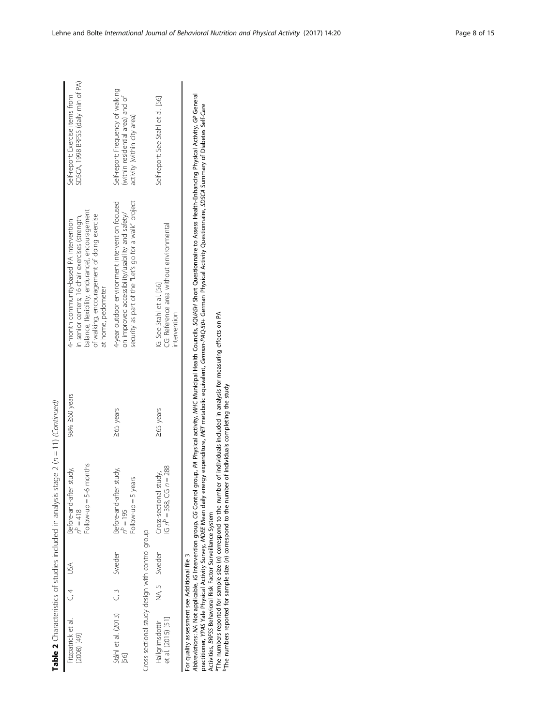|                                                                                                                                                                                                                                                                                                                                     |     |              | <b>The 2</b> Characteristics in ander in an analysis stage 2 (h = 1 1) (continued) |               |                                                                                                                                                                                                                     |                                                                                                     |
|-------------------------------------------------------------------------------------------------------------------------------------------------------------------------------------------------------------------------------------------------------------------------------------------------------------------------------------|-----|--------------|------------------------------------------------------------------------------------|---------------|---------------------------------------------------------------------------------------------------------------------------------------------------------------------------------------------------------------------|-----------------------------------------------------------------------------------------------------|
| Fitzpatrick et al.<br>[67] (8002)                                                                                                                                                                                                                                                                                                   | C.4 |              | Follow-up $=$ 5-6 months<br>Before-and-after study,<br>$n^p = 418$                 | 98% 260 years | balance, flexibility, endurance), encouragement<br>of walking, encouragement of doing exercise<br>in senior centers; 16 chair exercises (strength,<br>4-month community-based PA intervention<br>at home, pedometer | SDSCA, 1998 BRFSS (daily min of PA)<br>Self-report: Exercise items from                             |
| Ståhl et al. $(2013)$ $C, 3$<br>56]                                                                                                                                                                                                                                                                                                 |     | Sweden       | Before-and-after study,<br>Follow-up $=$ 5 years<br>$n^{\circ} = 195$              | 265 years     | security as part of the "Let's go for a walk" project<br>4-year outdoor environment intervention focused<br>on improved accessibility/usability and safety/                                                         | Self-report: Frequency of walking<br>within residential area) and of<br>activity (within city area) |
| Cross-sectional study design with control group<br>et al. (2015) [51]<br>Hallgrimsdottir                                                                                                                                                                                                                                            |     | NA, 5 Sweden | $n = 288$<br>study,<br>Cross-sectional<br>$IG n^D = 358, CG$                       | 265 years     | CG: Reference area without environmental<br>IG: See Stahl et al. [56]                                                                                                                                               | Self-report: See Stahl et al. [56]                                                                  |
|                                                                                                                                                                                                                                                                                                                                     |     |              |                                                                                    |               | intervention                                                                                                                                                                                                        |                                                                                                     |
| $\begin{bmatrix} 1 & 1 & 1 \\ 1 & 1 & 1 \\ 1 & 1 & 1 \\ 1 & 1 & 1 \\ 1 & 1 & 1 \\ 1 & 1 & 1 \\ 1 & 1 & 1 \\ 1 & 1 & 1 \\ 1 & 1 & 1 \\ 1 & 1 & 1 \\ 1 & 1 & 1 \\ 1 & 1 & 1 \\ 1 & 1 & 1 \\ 1 & 1 & 1 \\ 1 & 1 & 1 & 1 \\ 1 & 1 & 1 & 1 \\ 1 & 1 & 1 & 1 \\ 1 & 1 & 1 & 1 \\ 1 & 1 & 1 & 1 \\ 1 & 1 & 1 & 1 \\ 1 & 1 & 1 & 1 \\ 1 & $ |     |              |                                                                                    |               |                                                                                                                                                                                                                     |                                                                                                     |

 $(1)$  *(Continued)* **Table 2** Characteristics of studies included in analysis stage 2 (n = 11) (Continued)  $\sim$  0  $\sim$  $\ddot{\phantom{0}}$ عنور الموا  $\frac{1}{7}$ ्रं Ŕ Ŀ, Ŕ  $\overline{a}$ j  $\vec{\zeta}$  $T = 112.7$ 

For quality assessment see Additional file 3 For quality assessment see Additional file [3](#page-13-0)

Abbreviations: MA Not applicable, IG Intervention group, CG Control group, PA Physical activity, MHC Municipal Health Counclis, SQUASH Short Questionnaire to Assess Health-Enhancing Physical Activity, GP General<br>practition Abbreviations: NA Not applicable, IG Intervention group, CG Control group, PA Physical activity, MHC Municipal Health Councils, SQUASH Short Questionnaire to Assess Health-Enhancing Physical Activity, GP General practitioner, YPAS Yale Physical Activity Survey, MDEE Mean daily energy expenditure, MET metabolic equivalent, German-PAQ-50+ German Physical Activity Questionnaire, SDSCA Summary of Diabetes Self-Care Activities, BRFSS Behavioral Risk Factor Surveillance System

Activities, *BRFSS* Behavioral Risk Factor Surveillance System<br>The numbers reported for sample size (n) correspond to the number of individuals included in analysis for measuring effects on PA<br>The numbers reported for samp aThe numbers reported for sample size (n) correspond to the number of individuals included in analysis for measuring effects on PA

bThe numbers reported for sample size (n) correspond to the number of individuals completing the study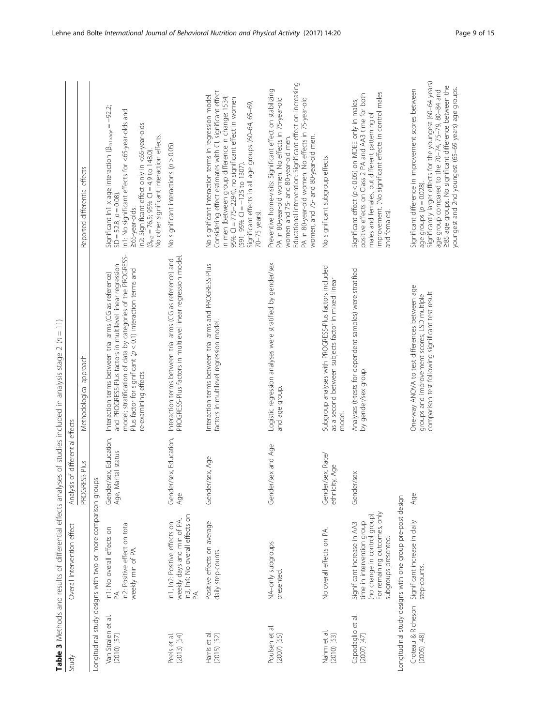Table 3 Methods and results of differential effects analyses of studies included in analysis stage 2 (n = 11)

<span id="page-8-0"></span>

|                                     |                                                                                                                                                    |                                               | Table 3 Methods and results of differential effects analyses of studies included in analysis stage 2 (n = 11)                                                                                                                                                                 |                                                                                                                                                                                                                                                                                                                                                            |
|-------------------------------------|----------------------------------------------------------------------------------------------------------------------------------------------------|-----------------------------------------------|-------------------------------------------------------------------------------------------------------------------------------------------------------------------------------------------------------------------------------------------------------------------------------|------------------------------------------------------------------------------------------------------------------------------------------------------------------------------------------------------------------------------------------------------------------------------------------------------------------------------------------------------------|
| Study                               | Overall intervention effect                                                                                                                        | Analysis of differential effects              |                                                                                                                                                                                                                                                                               |                                                                                                                                                                                                                                                                                                                                                            |
|                                     |                                                                                                                                                    | PROGRESS-Plus                                 | Methodological approach                                                                                                                                                                                                                                                       | Reported differential effects                                                                                                                                                                                                                                                                                                                              |
|                                     | Longitudinal study designs with two or more comparison groups                                                                                      |                                               |                                                                                                                                                                                                                                                                               |                                                                                                                                                                                                                                                                                                                                                            |
| Van Stralen et al.<br>(2010) [57]   | In2: Positive effect on total<br>In1: No overall effects on<br>weekly min of PA.<br>PA.                                                            | Gender/sex, Education,<br>Age, Marital status | model; stratification of data by categories of the PROGRESS-<br>and PROGRESS-Plus factors in multilevel linear regression<br>Plus factor for significant $(p < 0.1)$ interaction terms and<br>Interaction terms between trial arms (CG as reference)<br>re-examining effects. | Significant In1 x age interaction ( $\beta_{\rm int \, xage} = -92.2$ ;<br>In 1: No significant effects for <65-year-olds and<br>In2: Significant effect only in <65-year-olds<br>No other significant interaction effects.<br>$(\beta_{\ln 2} = 76.5; 95\% \text{ Cl} = 4.9 \text{ to } 148.0)$<br>$SD = 52.8; p = 0.08$<br>265-year-olds.                |
| $(2013)$ [54]<br>Peels et al        | In3, In4: No overall effects on<br>weekly days and min of PA<br>In1, In2: Positive effects on                                                      | Gender/sex, Education,<br>Age                 | PROGRESS-Plus factors in multilevel linear regression model<br>Interaction terms between trial arms (CG as reference) and                                                                                                                                                     | No significant interactions $(p > 0.05)$ .                                                                                                                                                                                                                                                                                                                 |
| Harris et al.<br>$(2015)$ [52]      | Positive effects on average<br>daily step-counts.                                                                                                  | Gender/sex, Age                               | Interaction terms between trial arms and PROGRESS-Plus<br>factors in multilevel regression model.                                                                                                                                                                             | Considering effect estimates with CI, significant effect<br>No significant interaction terms in regression model.<br>in men (between group difference in change: 1534;<br>95% CI = 775-2294), no significant effect in women<br>Significant effects in all age groups (60-64, 65-69,<br>$(591; 95\% \text{ Cl} = -125 \text{ to } 1307).$<br>70-75 years). |
| Poulsen et al.<br>$(2007)$ [55]     | NA-only subgroups<br>presented.                                                                                                                    | Gender/sex and Age                            | Logistic regression analyses were stratified by gender/sex<br>and age group.                                                                                                                                                                                                  | Educational intervention: Significant effect on increasing<br>Preventive home-visits: Significant effect on stabilizing<br>PA in 80-year-old women. No effects in 75-year-old<br>PA in 80-year-old women. No effects in 75-year-old<br>women, and 75- and 80-year-old men.<br>women and 75- and 80-year-old men.                                           |
| Nahm et al.<br>(2010) [53]          | No overall effects on PA.                                                                                                                          | Gender/sex, Race/<br>ethnicity, Age           | Subgroup analyses with PROGRESS-Plus factors included<br>as a second between subjects factor in mixed linear<br>model                                                                                                                                                         | No significant subgroup effects.                                                                                                                                                                                                                                                                                                                           |
| Capodaglio et al.<br>(2007) [47]    | For remaining outcomes, only<br>(no change in control group).<br>time in intervention group<br>Significant increase in AA3<br>subgroups presented. | Gender/sex                                    | Analyses (t-tests for dependent samples) were stratified<br>by gender/sex group.                                                                                                                                                                                              | improvement. (No significant effects in control males<br>positive effects on Class 2 PA and AA3 time for both<br>Significant effect $(p < 0.05)$ on MDEE only in males;<br>males and females, but different patterning of<br>and females).                                                                                                                 |
|                                     | Longitudinal study designs with one group pre-post design                                                                                          |                                               |                                                                                                                                                                                                                                                                               |                                                                                                                                                                                                                                                                                                                                                            |
| Croteau & Richeson<br>$(2005)$ [48] | Significant increase in daily<br>step-counts.                                                                                                      | Age                                           | One-way ANOVA to test differences between age<br>comparison test following significant test result.<br>groups and improvement scores; LSD multiple                                                                                                                            | Significantly larger effects for the youngest (60-64 years)<br>285 age groups. No significant difference between the<br>youngest and 2nd youngest (65-69 years) age groups.<br>Significant difference in improvement scores between<br>age group compared to the 70-74, 75-79, 80-84 and<br>age groups $(p = 0.028)$ .                                     |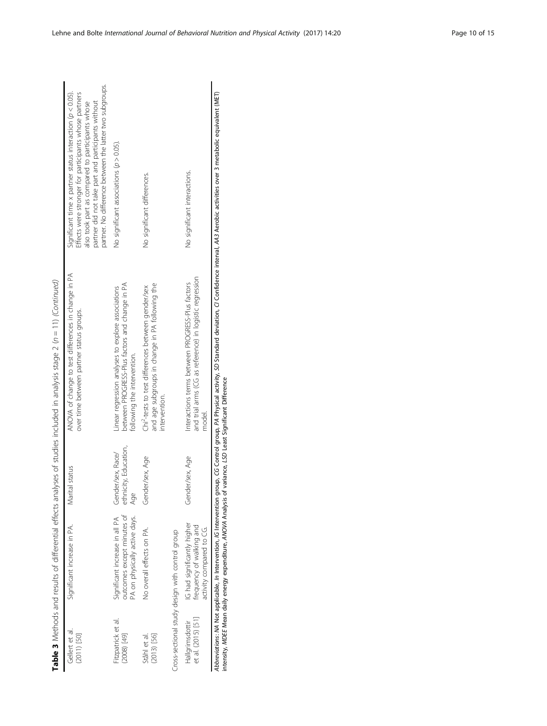|                                       |                                                                                                             |                                                   | Table 3 Methods and results of differential effects analyses of studies included in analysis stage 2 (n = 11) (Continued)                                                                              |                                                                                                                                                                                                                                                                                             |
|---------------------------------------|-------------------------------------------------------------------------------------------------------------|---------------------------------------------------|--------------------------------------------------------------------------------------------------------------------------------------------------------------------------------------------------------|---------------------------------------------------------------------------------------------------------------------------------------------------------------------------------------------------------------------------------------------------------------------------------------------|
| Gellert et al<br>$(2011)$ [50]        | Significant increase in PA.                                                                                 | Marital status                                    | ANOVA of change to test differences in change in PA<br>over time between partner status groups.                                                                                                        | partner. No difference between the latter two subgroups.<br>Significant time x partner status interaction $(p < 0.05)$ .<br>Effects were stronger for participants whose partners<br>also took part as compared to participants whose<br>partner did not take part and participants without |
| Fitzpatrick et al.<br>$[64]$ (2008)   | outcomes except minutes of<br>PA on physically active days.<br>Significant increase in all PA               | ethnicity, Education,<br>Gender/sex, Race/<br>Age | between PROGRESS-Plus factors and change in PA<br>inear regression analyses to explore associations<br>following the intervention.                                                                     | No significant associations $(p > 0.05)$ .                                                                                                                                                                                                                                                  |
| $(2013)$ [56]<br>Ståhl et al.         | No overall effects on PA.                                                                                   | Gender/sex, Age                                   | and age subgroups in change in PA following the<br>Chi <sup>2</sup> -tests to test differences between gender/sex<br>intervention.                                                                     | No significant differences.                                                                                                                                                                                                                                                                 |
|                                       | Cross-sectional study design with control group                                                             |                                                   |                                                                                                                                                                                                        |                                                                                                                                                                                                                                                                                             |
| et al. (2015) [51]<br>Hallgrimsdottir | IG had significantly higher<br>frequency of walking and<br>activity compared to CG.                         | Gender/sex, Age                                   | and trial arms (CG as reference) in logistic regression<br>Interactions terms between PROGRESS-Plus factors<br>model.                                                                                  | No significant interactions.                                                                                                                                                                                                                                                                |
|                                       | intensity, MDEE Mean daily energy expenditure, ANOVA Analysis of variance, LSD Least Significant Difference |                                                   | Abbreviations: MA Not applicable, In Intervention, IG Intervention group, GG Gontrol activity, SD Standard deviation, CI Confidence interval, AA3 Aerobic activities over 3 metabolic equivalent (MET) |                                                                                                                                                                                                                                                                                             |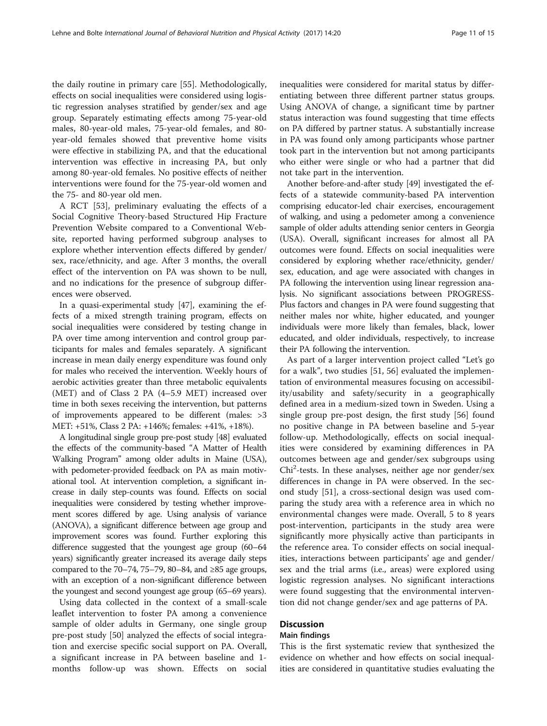the daily routine in primary care [\[55\]](#page-14-0). Methodologically, effects on social inequalities were considered using logistic regression analyses stratified by gender/sex and age group. Separately estimating effects among 75-year-old males, 80-year-old males, 75-year-old females, and 80 year-old females showed that preventive home visits were effective in stabilizing PA, and that the educational intervention was effective in increasing PA, but only among 80-year-old females. No positive effects of neither interventions were found for the 75-year-old women and the 75- and 80-year old men.

A RCT [[53](#page-14-0)], preliminary evaluating the effects of a Social Cognitive Theory-based Structured Hip Fracture Prevention Website compared to a Conventional Website, reported having performed subgroup analyses to explore whether intervention effects differed by gender/ sex, race/ethnicity, and age. After 3 months, the overall effect of the intervention on PA was shown to be null, and no indications for the presence of subgroup differences were observed.

In a quasi-experimental study [\[47\]](#page-14-0), examining the effects of a mixed strength training program, effects on social inequalities were considered by testing change in PA over time among intervention and control group participants for males and females separately. A significant increase in mean daily energy expenditure was found only for males who received the intervention. Weekly hours of aerobic activities greater than three metabolic equivalents (MET) and of Class 2 PA (4–5.9 MET) increased over time in both sexes receiving the intervention, but patterns of improvements appeared to be different (males: >3 MET: +51%, Class 2 PA: +146%; females: +41%, +18%).

A longitudinal single group pre-post study [\[48\]](#page-14-0) evaluated the effects of the community-based "A Matter of Health Walking Program" among older adults in Maine (USA), with pedometer-provided feedback on PA as main motivational tool. At intervention completion, a significant increase in daily step-counts was found. Effects on social inequalities were considered by testing whether improvement scores differed by age. Using analysis of variance (ANOVA), a significant difference between age group and improvement scores was found. Further exploring this difference suggested that the youngest age group (60–64 years) significantly greater increased its average daily steps compared to the 70–74, 75–79, 80–84, and ≥85 age groups, with an exception of a non-significant difference between the youngest and second youngest age group (65–69 years).

Using data collected in the context of a small-scale leaflet intervention to foster PA among a convenience sample of older adults in Germany, one single group pre-post study [\[50](#page-14-0)] analyzed the effects of social integration and exercise specific social support on PA. Overall, a significant increase in PA between baseline and 1 months follow-up was shown. Effects on social inequalities were considered for marital status by differentiating between three different partner status groups. Using ANOVA of change, a significant time by partner status interaction was found suggesting that time effects on PA differed by partner status. A substantially increase in PA was found only among participants whose partner took part in the intervention but not among participants who either were single or who had a partner that did not take part in the intervention.

Another before-and-after study [\[49](#page-14-0)] investigated the effects of a statewide community-based PA intervention comprising educator-led chair exercises, encouragement of walking, and using a pedometer among a convenience sample of older adults attending senior centers in Georgia (USA). Overall, significant increases for almost all PA outcomes were found. Effects on social inequalities were considered by exploring whether race/ethnicity, gender/ sex, education, and age were associated with changes in PA following the intervention using linear regression analysis. No significant associations between PROGRESS-Plus factors and changes in PA were found suggesting that neither males nor white, higher educated, and younger individuals were more likely than females, black, lower educated, and older individuals, respectively, to increase their PA following the intervention.

As part of a larger intervention project called "Let's go for a walk", two studies [\[51](#page-14-0), [56\]](#page-14-0) evaluated the implementation of environmental measures focusing on accessibility/usability and safety/security in a geographically defined area in a medium-sized town in Sweden. Using a single group pre-post design, the first study [[56](#page-14-0)] found no positive change in PA between baseline and 5-year follow-up. Methodologically, effects on social inequalities were considered by examining differences in PA outcomes between age and gender/sex subgroups using Chi<sup>2</sup>-tests. In these analyses, neither age nor gender/sex differences in change in PA were observed. In the second study [[51](#page-14-0)], a cross-sectional design was used comparing the study area with a reference area in which no environmental changes were made. Overall, 5 to 8 years post-intervention, participants in the study area were significantly more physically active than participants in the reference area. To consider effects on social inequalities, interactions between participants' age and gender/ sex and the trial arms (i.e., areas) were explored using logistic regression analyses. No significant interactions were found suggesting that the environmental intervention did not change gender/sex and age patterns of PA.

## **Discussion**

#### Main findings

This is the first systematic review that synthesized the evidence on whether and how effects on social inequalities are considered in quantitative studies evaluating the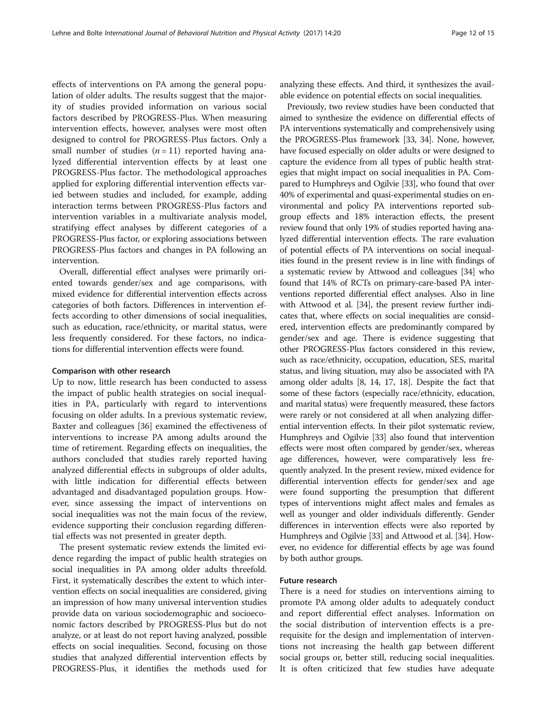effects of interventions on PA among the general population of older adults. The results suggest that the majority of studies provided information on various social factors described by PROGRESS-Plus. When measuring intervention effects, however, analyses were most often designed to control for PROGRESS-Plus factors. Only a small number of studies  $(n = 11)$  reported having analyzed differential intervention effects by at least one PROGRESS-Plus factor. The methodological approaches applied for exploring differential intervention effects varied between studies and included, for example, adding interaction terms between PROGRESS-Plus factors and intervention variables in a multivariate analysis model, stratifying effect analyses by different categories of a PROGRESS-Plus factor, or exploring associations between PROGRESS-Plus factors and changes in PA following an intervention.

Overall, differential effect analyses were primarily oriented towards gender/sex and age comparisons, with mixed evidence for differential intervention effects across categories of both factors. Differences in intervention effects according to other dimensions of social inequalities, such as education, race/ethnicity, or marital status, were less frequently considered. For these factors, no indications for differential intervention effects were found.

## Comparison with other research

Up to now, little research has been conducted to assess the impact of public health strategies on social inequalities in PA, particularly with regard to interventions focusing on older adults. In a previous systematic review, Baxter and colleagues [[36\]](#page-14-0) examined the effectiveness of interventions to increase PA among adults around the time of retirement. Regarding effects on inequalities, the authors concluded that studies rarely reported having analyzed differential effects in subgroups of older adults, with little indication for differential effects between advantaged and disadvantaged population groups. However, since assessing the impact of interventions on social inequalities was not the main focus of the review, evidence supporting their conclusion regarding differential effects was not presented in greater depth.

The present systematic review extends the limited evidence regarding the impact of public health strategies on social inequalities in PA among older adults threefold. First, it systematically describes the extent to which intervention effects on social inequalities are considered, giving an impression of how many universal intervention studies provide data on various sociodemographic and socioeconomic factors described by PROGRESS-Plus but do not analyze, or at least do not report having analyzed, possible effects on social inequalities. Second, focusing on those studies that analyzed differential intervention effects by PROGRESS-Plus, it identifies the methods used for analyzing these effects. And third, it synthesizes the available evidence on potential effects on social inequalities.

Previously, two review studies have been conducted that aimed to synthesize the evidence on differential effects of PA interventions systematically and comprehensively using the PROGRESS-Plus framework [\[33, 34](#page-14-0)]. None, however, have focused especially on older adults or were designed to capture the evidence from all types of public health strategies that might impact on social inequalities in PA. Compared to Humphreys and Ogilvie [\[33\]](#page-14-0), who found that over 40% of experimental and quasi-experimental studies on environmental and policy PA interventions reported subgroup effects and 18% interaction effects, the present review found that only 19% of studies reported having analyzed differential intervention effects. The rare evaluation of potential effects of PA interventions on social inequalities found in the present review is in line with findings of a systematic review by Attwood and colleagues [\[34\]](#page-14-0) who found that 14% of RCTs on primary-care-based PA interventions reported differential effect analyses. Also in line with Attwood et al. [\[34\]](#page-14-0), the present review further indicates that, where effects on social inequalities are considered, intervention effects are predominantly compared by gender/sex and age. There is evidence suggesting that other PROGRESS-Plus factors considered in this review, such as race/ethnicity, occupation, education, SES, marital status, and living situation, may also be associated with PA among older adults [[8, 14](#page-13-0), [17](#page-13-0), [18](#page-13-0)]. Despite the fact that some of these factors (especially race/ethnicity, education, and marital status) were frequently measured, these factors were rarely or not considered at all when analyzing differential intervention effects. In their pilot systematic review, Humphreys and Ogilvie [\[33\]](#page-14-0) also found that intervention effects were most often compared by gender/sex, whereas age differences, however, were comparatively less frequently analyzed. In the present review, mixed evidence for differential intervention effects for gender/sex and age were found supporting the presumption that different types of interventions might affect males and females as well as younger and older individuals differently. Gender differences in intervention effects were also reported by Humphreys and Ogilvie [[33](#page-14-0)] and Attwood et al. [[34](#page-14-0)]. However, no evidence for differential effects by age was found by both author groups.

## Future research

There is a need for studies on interventions aiming to promote PA among older adults to adequately conduct and report differential effect analyses. Information on the social distribution of intervention effects is a prerequisite for the design and implementation of interventions not increasing the health gap between different social groups or, better still, reducing social inequalities. It is often criticized that few studies have adequate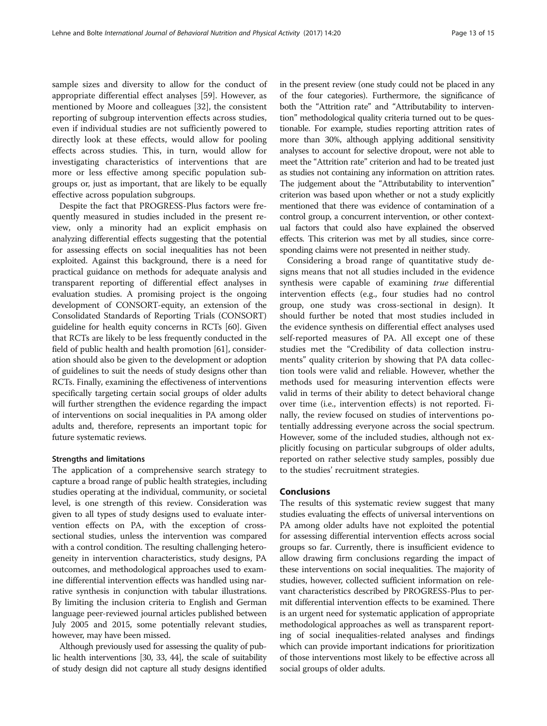sample sizes and diversity to allow for the conduct of appropriate differential effect analyses [\[59](#page-14-0)]. However, as mentioned by Moore and colleagues [\[32](#page-14-0)], the consistent reporting of subgroup intervention effects across studies, even if individual studies are not sufficiently powered to directly look at these effects, would allow for pooling effects across studies. This, in turn, would allow for investigating characteristics of interventions that are more or less effective among specific population subgroups or, just as important, that are likely to be equally effective across population subgroups.

Despite the fact that PROGRESS-Plus factors were frequently measured in studies included in the present review, only a minority had an explicit emphasis on analyzing differential effects suggesting that the potential for assessing effects on social inequalities has not been exploited. Against this background, there is a need for practical guidance on methods for adequate analysis and transparent reporting of differential effect analyses in evaluation studies. A promising project is the ongoing development of CONSORT-equity, an extension of the Consolidated Standards of Reporting Trials (CONSORT) guideline for health equity concerns in RCTs [\[60\]](#page-14-0). Given that RCTs are likely to be less frequently conducted in the field of public health and health promotion [[61](#page-14-0)], consideration should also be given to the development or adoption of guidelines to suit the needs of study designs other than RCTs. Finally, examining the effectiveness of interventions specifically targeting certain social groups of older adults will further strengthen the evidence regarding the impact of interventions on social inequalities in PA among older adults and, therefore, represents an important topic for future systematic reviews.

## Strengths and limitations

The application of a comprehensive search strategy to capture a broad range of public health strategies, including studies operating at the individual, community, or societal level, is one strength of this review. Consideration was given to all types of study designs used to evaluate intervention effects on PA, with the exception of crosssectional studies, unless the intervention was compared with a control condition. The resulting challenging heterogeneity in intervention characteristics, study designs, PA outcomes, and methodological approaches used to examine differential intervention effects was handled using narrative synthesis in conjunction with tabular illustrations. By limiting the inclusion criteria to English and German language peer-reviewed journal articles published between July 2005 and 2015, some potentially relevant studies, however, may have been missed.

Although previously used for assessing the quality of public health interventions [\[30,](#page-14-0) [33, 44\]](#page-14-0), the scale of suitability of study design did not capture all study designs identified in the present review (one study could not be placed in any of the four categories). Furthermore, the significance of both the "Attrition rate" and "Attributability to intervention" methodological quality criteria turned out to be questionable. For example, studies reporting attrition rates of more than 30%, although applying additional sensitivity analyses to account for selective dropout, were not able to meet the "Attrition rate" criterion and had to be treated just as studies not containing any information on attrition rates. The judgement about the "Attributability to intervention" criterion was based upon whether or not a study explicitly mentioned that there was evidence of contamination of a control group, a concurrent intervention, or other contextual factors that could also have explained the observed effects. This criterion was met by all studies, since corresponding claims were not presented in neither study.

Considering a broad range of quantitative study designs means that not all studies included in the evidence synthesis were capable of examining true differential intervention effects (e.g., four studies had no control group, one study was cross-sectional in design). It should further be noted that most studies included in the evidence synthesis on differential effect analyses used self-reported measures of PA. All except one of these studies met the "Credibility of data collection instruments" quality criterion by showing that PA data collection tools were valid and reliable. However, whether the methods used for measuring intervention effects were valid in terms of their ability to detect behavioral change over time (i.e., intervention effects) is not reported. Finally, the review focused on studies of interventions potentially addressing everyone across the social spectrum. However, some of the included studies, although not explicitly focusing on particular subgroups of older adults, reported on rather selective study samples, possibly due to the studies' recruitment strategies.

## Conclusions

The results of this systematic review suggest that many studies evaluating the effects of universal interventions on PA among older adults have not exploited the potential for assessing differential intervention effects across social groups so far. Currently, there is insufficient evidence to allow drawing firm conclusions regarding the impact of these interventions on social inequalities. The majority of studies, however, collected sufficient information on relevant characteristics described by PROGRESS-Plus to permit differential intervention effects to be examined. There is an urgent need for systematic application of appropriate methodological approaches as well as transparent reporting of social inequalities-related analyses and findings which can provide important indications for prioritization of those interventions most likely to be effective across all social groups of older adults.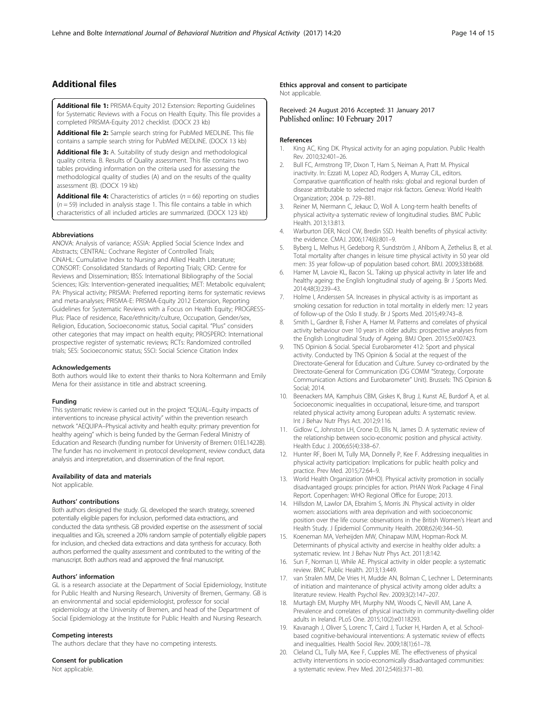## <span id="page-13-0"></span>Additional files

[Additional file 1:](dx.doi.org/10.1186/s12966-017-0472-4) PRISMA-Equity 2012 Extension: Reporting Guidelines for Systematic Reviews with a Focus on Health Equity. This file provides a completed PRISMA-Equity 2012 checklist. (DOCX 23 kb)

[Additional file 2:](dx.doi.org/10.1186/s12966-017-0472-4) Sample search string for PubMed MEDLINE. This file contains a sample search string for PubMed MEDLINE. (DOCX 13 kb)

[Additional file 3:](dx.doi.org/10.1186/s12966-017-0472-4) A. Suitability of study design and methodological quality criteria. B. Results of Quality assessment. This file contains two tables providing information on the criteria used for assessing the methodological quality of studies (A) and on the results of the quality assessment (B). (DOCX 19 kb)

**[Additional file 4:](dx.doi.org/10.1186/s12966-017-0472-4)** Characteristics of articles ( $n = 66$ ) reporting on studies  $(n = 59)$  included in analysis stage 1. This file contains a table in which characteristics of all included articles are summarized. (DOCX 123 kb)

#### Abbreviations

ANOVA: Analysis of variance; ASSIA: Applied Social Science Index and Abstracts; CENTRAL: Cochrane Register of Controlled Trials; CINAHL: Cumulative Index to Nursing and Allied Health Literature; CONSORT: Consolidated Standards of Reporting Trials; CRD: Centre for Reviews and Dissemination; IBSS: International Bibliography of the Social Sciences; IGIs: Intervention-generated inequalities; MET: Metabolic equivalent; PA: Physical activity; PRISMA: Preferred reporting items for systematic reviews and meta-analyses; PRISMA-E: PRISMA-Equity 2012 Extension, Reporting Guidelines for Systematic Reviews with a Focus on Health Equity; PROGRESS-Plus: Place of residence, Race/ethnicity/culture, Occupation, Gender/sex, Religion, Education, Socioeconomic status, Social capital. "Plus" considers other categories that may impact on health equity; PROSPERO: International prospective register of systematic reviews; RCTs: Randomized controlled trials; SES: Socioeconomic status; SSCI: Social Science Citation Index

#### Acknowledgements

Both authors would like to extent their thanks to Nora Koltermann and Emily Mena for their assistance in title and abstract screening.

#### Funding

This systematic review is carried out in the project "EQUAL–Equity impacts of interventions to increase physical activity" within the prevention research network "AEQUIPA–Physical activity and health equity: primary prevention for healthy ageing" which is being funded by the German Federal Ministry of Education and Research (funding number for University of Bremen: 01EL1422B). The funder has no involvement in protocol development, review conduct, data analysis and interpretation, and dissemination of the final report.

#### Availability of data and materials

Not applicable.

#### Authors' contributions

Both authors designed the study. GL developed the search strategy, screened potentially eligible papers for inclusion, performed data extractions, and conducted the data synthesis. GB provided expertise on the assessment of social inequalities and IGIs, screened a 20% random sample of potentially eligible papers for inclusion, and checked data extractions and data synthesis for accuracy. Both authors performed the quality assessment and contributed to the writing of the manuscript. Both authors read and approved the final manuscript.

#### Authors' information

GL is a research associate at the Department of Social Epidemiology, Institute for Public Health and Nursing Research, University of Bremen, Germany. GB is an environmental and social epidemiologist, professor for social epidemiology at the University of Bremen, and head of the Department of Social Epidemiology at the Institute for Public Health and Nursing Research.

#### Competing interests

The authors declare that they have no competing interests.

#### Consent for publication

Not applicable.

#### Ethics approval and consent to participate Not applicable.

Received: 24 August 2016 Accepted: 31 January 2017 Published online: 10 February 2017

#### References

- 1. King AC, King DK. Physical activity for an aging population. Public Health Rev. 2010;32:401–26.
- 2. Bull FC, Armstrong TP, Dixon T, Ham S, Neiman A, Pratt M. Physical inactivity. In: Ezzati M, Lopez AD, Rodgers A, Murray CJL, editors. Comparative quantification of health risks: global and regional burden of disease attributable to selected major risk factors. Geneva: World Health Organization; 2004. p. 729–881.
- 3. Reiner M, Niermann C, Jekauc D, Woll A. Long-term health benefits of physical activity-a systematic review of longitudinal studies. BMC Public Health. 2013;13:813.
- 4. Warburton DER, Nicol CW, Bredin SSD. Health benefits of physical activity: the evidence. CMAJ. 2006;174(6):801–9.
- 5. Byberg L, Melhus H, Gedeborg R, Sundström J, Ahlbom A, Zethelius B, et al. Total mortality after changes in leisure time physical activity in 50 year old men: 35 year follow-up of population based cohort. BMJ. 2009;338:b688.
- 6. Hamer M, Lavoie KL, Bacon SL. Taking up physical activity in later life and healthy ageing: the English longitudinal study of ageing. Br J Sports Med. 2014;48(3):239–43.
- 7. Holme I, Anderssen SA. Increases in physical activity is as important as smoking cessation for reduction in total mortality in elderly men: 12 years of follow-up of the Oslo II study. Br J Sports Med. 2015;49:743–8.
- 8. Smith L, Gardner B, Fisher A, Hamer M. Patterns and correlates of physical activity behaviour over 10 years in older adults: prospective analyses from the English Longitudinal Study of Ageing. BMJ Open. 2015;5:e007423.
- 9. TNS Opinion & Social. Special Eurobarometer 412: Sport and physical activity. Conducted by TNS Opinion & Social at the request of the Directorate-General for Education and Culture. Survey co-ordinated by the Directorate-General for Communication (DG COMM "Strategy, Corporate Communication Actions and Eurobarometer" Unit). Brussels: TNS Opinion & Social; 2014.
- 10. Beenackers MA, Kamphuis CBM, Giskes K, Brug J, Kunst AE, Burdorf A, et al. Socioeconomic inequalities in occupational, leisure-time, and transport related physical activity among European adults: A systematic review. Int J Behav Nutr Phys Act. 2012;9:116.
- 11. Gidlow C, Johnston LH, Crone D, Ellis N, James D. A systematic review of the relationship between socio-economic position and physical activity. Health Educ J. 2006;65(4):338–67.
- 12. Hunter RF, Boeri M, Tully MA, Donnelly P, Kee F. Addressing inequalities in physical activity participation: Implications for public health policy and practice. Prev Med. 2015;72:64–9.
- 13. World Health Organization (WHO). Physical activity promotion in socially disadvantaged groups: principles for action. PHAN Work Package 4 Final Report. Copenhagen: WHO Regional Office for Europe; 2013.
- 14. Hillsdon M, Lawlor DA, Ebrahim S, Morris JN. Physical activity in older women: associations with area deprivation and with socioeconomic position over the life course: observations in the British Women's Heart and Health Study. J Epidemiol Community Health. 2008;62(4):344–50.
- 15. Koeneman MA, Verheijden MW, Chinapaw MJM, Hopman-Rock M. Determinants of physical activity and exercise in healthy older adults: a systematic review. Int J Behav Nutr Phys Act. 2011;8:142.
- 16. Sun F, Norman IJ, While AE. Physical activity in older people: a systematic review. BMC Public Health. 2013;13:449.
- 17. van Stralen MM, De Vries H, Mudde AN, Bolman C, Lechner L. Determinants of initiation and maintenance of physical activity among older adults: a literature review. Health Psychol Rev. 2009;3(2):147–207.
- 18. Murtagh EM, Murphy MH, Murphy NM, Woods C, Nevill AM, Lane A. Prevalence and correlates of physical inactivity in community-dwelling older adults in Ireland. PLoS One. 2015;10(2):e0118293.
- 19. Kavanagh J, Oliver S, Lorenc T, Caird J, Tucker H, Harden A, et al. Schoolbased cognitive-behavioural interventions: A systematic review of effects and inequalities. Health Sociol Rev. 2009;18(1):61–78.
- 20. Cleland CL, Tully MA, Kee F, Cupples ME. The effectiveness of physical activity interventions in socio-economically disadvantaged communities: a systematic review. Prev Med. 2012;54(6):371–80.